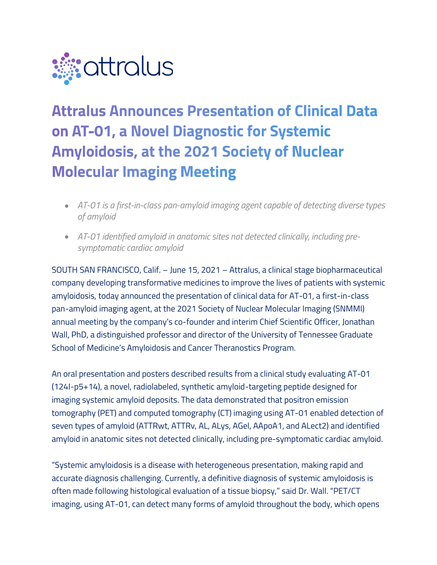

# **Attralus Announces Presentation of Clinical Data** on AT-01, a Novel Diagnostic for Systemic **Amyloidosis, at the 2021 Society of Nuclear Molecular Imaging Meeting**

- *AT-01 is a first-in-class pan-amyloid imaging agent capable of detecting diverse types of amyloid*
- *AT-01 identified amyloid in anatomic sites not detected clinically, including presymptomatic cardiac amyloid*

SOUTH SAN FRANCISCO, Calif. – June 15, 2021 – Attralus, a clinical stage biopharmaceutical company developing transformative medicines to improve the lives of patients with systemic amyloidosis, today announced the presentation of clinical data for AT-01, a first-in-class pan-amyloid imaging agent, at the 2021 Society of Nuclear Molecular Imaging (SNMMI) annual meeting by the company's co-founder and interim Chief Scientific Officer, Jonathan Wall, PhD, a distinguished professor and director of the University of Tennessee Graduate School of Medicine's Amyloidosis and Cancer Theranostics Program.

An oral presentation and posters described results from a clinical study evaluating AT-01 (124I-p5+14), a novel, radiolabeled, synthetic amyloid-targeting peptide designed for imaging systemic amyloid deposits. The data demonstrated that positron emission tomography (PET) and computed tomography (CT) imaging using AT-01 enabled detection of seven types of amyloid (ATTRwt, ATTRv, AL, ALys, AGel, AApoA1, and ALect2) and identified amyloid in anatomic sites not detected clinically, including pre-symptomatic cardiac amyloid.

"Systemic amyloidosis is a disease with heterogeneous presentation, making rapid and accurate diagnosis challenging. Currently, a definitive diagnosis of systemic amyloidosis is often made following histological evaluation of a tissue biopsy," said Dr. Wall. "PET/CT imaging, using AT-01, can detect many forms of amyloid throughout the body, which opens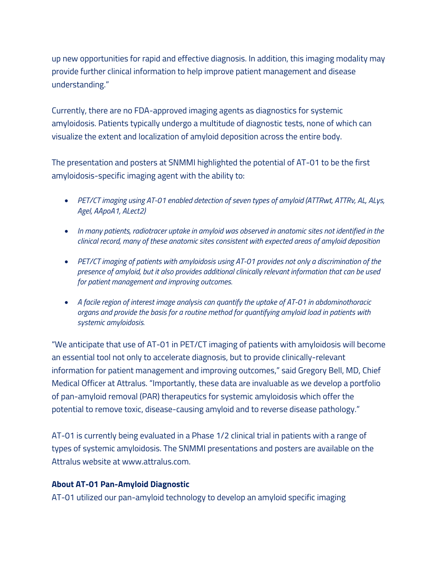up new opportunities for rapid and effective diagnosis. In addition, this imaging modality may provide further clinical information to help improve patient management and disease understanding."

Currently, there are no FDA-approved imaging agents as diagnostics for systemic amyloidosis. Patients typically undergo a multitude of diagnostic tests, none of which can visualize the extent and localization of amyloid deposition across the entire body.

The presentation and posters at SNMMI highlighted the potential of AT-01 to be the first amyloidosis-specific imaging agent with the ability to:

- *PET/CT imaging using AT-01 enabled detection of seven types of amyloid (ATTRwt, ATTRv, AL, ALys, Agel, AApoA1, ALect2)*
- *In many patients, radiotracer uptake in amyloid was observed in anatomic sites not identified in the clinical record, many of these anatomic sites consistent with expected areas of amyloid deposition*
- *PET/CT imaging of patients with amyloidosis using AT-01 provides not only a discrimination of the presence of amyloid, but it also provides additional clinically relevant information that can be used for patient management and improving outcomes.*
- *A facile region of interest image analysis can quantify the uptake of AT-01 in abdominothoracic organs and provide the basis for a routine method for quantifying amyloid load in patients with systemic amyloidosis.*

"We anticipate that use of AT-01 in PET/CT imaging of patients with amyloidosis will become an essential tool not only to accelerate diagnosis, but to provide clinically-relevant information for patient management and improving outcomes," said Gregory Bell, MD, Chief Medical Officer at Attralus. "Importantly, these data are invaluable as we develop a portfolio of pan-amyloid removal (PAR) therapeutics for systemic amyloidosis which offer the potential to remove toxic, disease-causing amyloid and to reverse disease pathology."

AT-01 is currently being evaluated in a Phase 1/2 clinical trial in patients with a range of types of systemic amyloidosis. The SNMMI presentations and posters are available on the Attralus website at www.attralus.com.

# **About AT-01 Pan-Amyloid Diagnostic**

AT-01 utilized our pan-amyloid technology to develop an amyloid specific imaging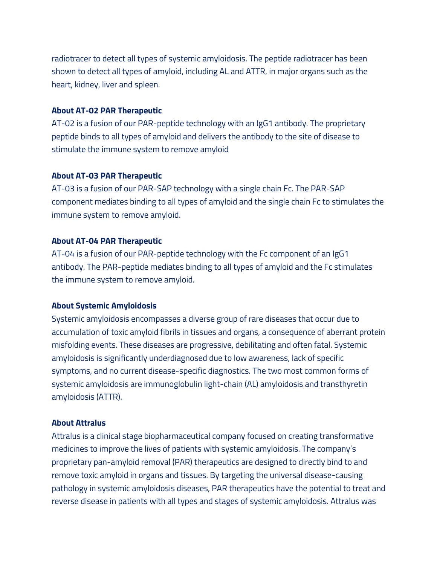radiotracer to detect all types of systemic amyloidosis. The peptide radiotracer has been shown to detect all types of amyloid, including AL and ATTR, in major organs such as the heart, kidney, liver and spleen.

# **About AT-02 PAR Therapeutic**

AT-02 is a fusion of our PAR-peptide technology with an IgG1 antibody. The proprietary peptide binds to all types of amyloid and delivers the antibody to the site of disease to stimulate the immune system to remove amyloid

#### **About AT-03 PAR Therapeutic**

AT-03 is a fusion of our PAR-SAP technology with a single chain Fc. The PAR-SAP component mediates binding to all types of amyloid and the single chain Fc to stimulates the immune system to remove amyloid.

## **About AT-04 PAR Therapeutic**

AT-04 is a fusion of our PAR-peptide technology with the Fc component of an IgG1 antibody. The PAR-peptide mediates binding to all types of amyloid and the Fc stimulates the immune system to remove amyloid.

#### **About Systemic Amyloidosis**

Systemic amyloidosis encompasses a diverse group of rare diseases that occur due to accumulation of toxic amyloid fibrils in tissues and organs, a consequence of aberrant protein misfolding events. These diseases are progressive, debilitating and often fatal. Systemic amyloidosis is significantly underdiagnosed due to low awareness, lack of specific symptoms, and no current disease-specific diagnostics. The two most common forms of systemic amyloidosis are immunoglobulin light-chain (AL) amyloidosis and transthyretin amyloidosis (ATTR).

#### **About Attralus**

Attralus is a clinical stage biopharmaceutical company focused on creating transformative medicines to improve the lives of patients with systemic amyloidosis. The company's proprietary pan-amyloid removal (PAR) therapeutics are designed to directly bind to and remove toxic amyloid in organs and tissues. By targeting the universal disease-causing pathology in systemic amyloidosis diseases, PAR therapeutics have the potential to treat and reverse disease in patients with all types and stages of systemic amyloidosis. Attralus was